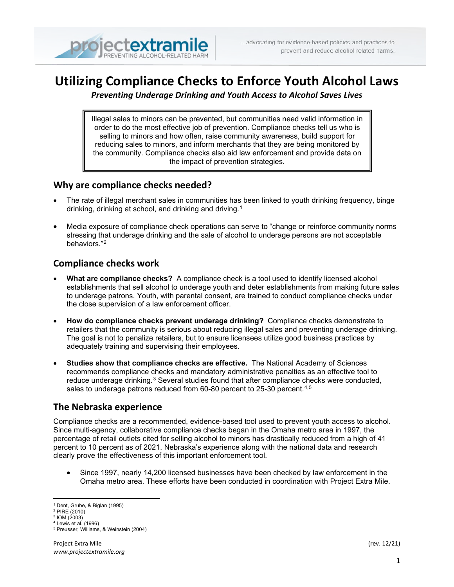

# **Utilizing Compliance Checks to Enforce Youth Alcohol Laws**

*Preventing Underage Drinking and Youth Access to Alcohol Saves Lives*

order to do the most effective job of prevention. Compliance checks tell us who is Illegal sales to minors can be prevented, but communities need valid information in selling to minors and how often, raise community awareness, build support for reducing sales to minors, and inform merchants that they are being monitored by the community. Compliance checks also aid law enforcement and provide data on the impact of prevention strategies.

## **Why are compliance checks needed?**

- The rate of illegal merchant sales in communities has been linked to youth drinking frequency, binge drinking, drinking at school, and drinking and driving.[1](#page-0-0)
- Media exposure of compliance check operations can serve to "change or reinforce community norms stressing that underage drinking and the sale of alcohol to underage persons are not acceptable behaviors."[2](#page-0-1)

## **Compliance checks work**

- **What are compliance checks?** A compliance check is a tool used to identify licensed alcohol establishments that sell alcohol to underage youth and deter establishments from making future sales to underage patrons. Youth, with parental consent, are trained to conduct compliance checks under the close supervision of a law enforcement officer.
- **How do compliance checks prevent underage drinking?** Compliance checks demonstrate to retailers that the community is serious about reducing illegal sales and preventing underage drinking. The goal is not to penalize retailers, but to ensure licensees utilize good business practices by adequately training and supervising their employees.
- **Studies show that compliance checks are effective.** The National Academy of Sciences recommends compliance checks and mandatory administrative penalties as an effective tool to reduce underage drinking.<sup>[3](#page-0-2)</sup> Several studies found that after compliance checks were conducted, sales to underage patrons reduced from 60-80 percent to 25-30 percent.<sup>[4](#page-0-3),[5](#page-0-4)</sup>

# **The Nebraska experience**

Compliance checks are a recommended, evidence-based tool used to prevent youth access to alcohol. Since multi-agency, collaborative compliance checks began in the Omaha metro area in 1997, the percentage of retail outlets cited for selling alcohol to minors has drastically reduced from a high of 41 percent to 10 percent as of 2021. Nebraska's experience along with the national data and research clearly prove the effectiveness of this important enforcement tool.

• Since 1997, nearly 14,200 licensed businesses have been checked by law enforcement in the Omaha metro area. These efforts have been conducted in coordination with Project Extra Mile.

<sup>1</sup> Dent, Grube, & Biglan (1995)

<span id="page-0-1"></span><span id="page-0-0"></span><sup>2</sup> PIRE (2010)

<span id="page-0-3"></span><span id="page-0-2"></span><sup>3</sup> IOM (2003)

<sup>4</sup> Lewis et al. (1996)

<span id="page-0-4"></span><sup>5</sup> Preusser, Williams, & Weinstein (2004)